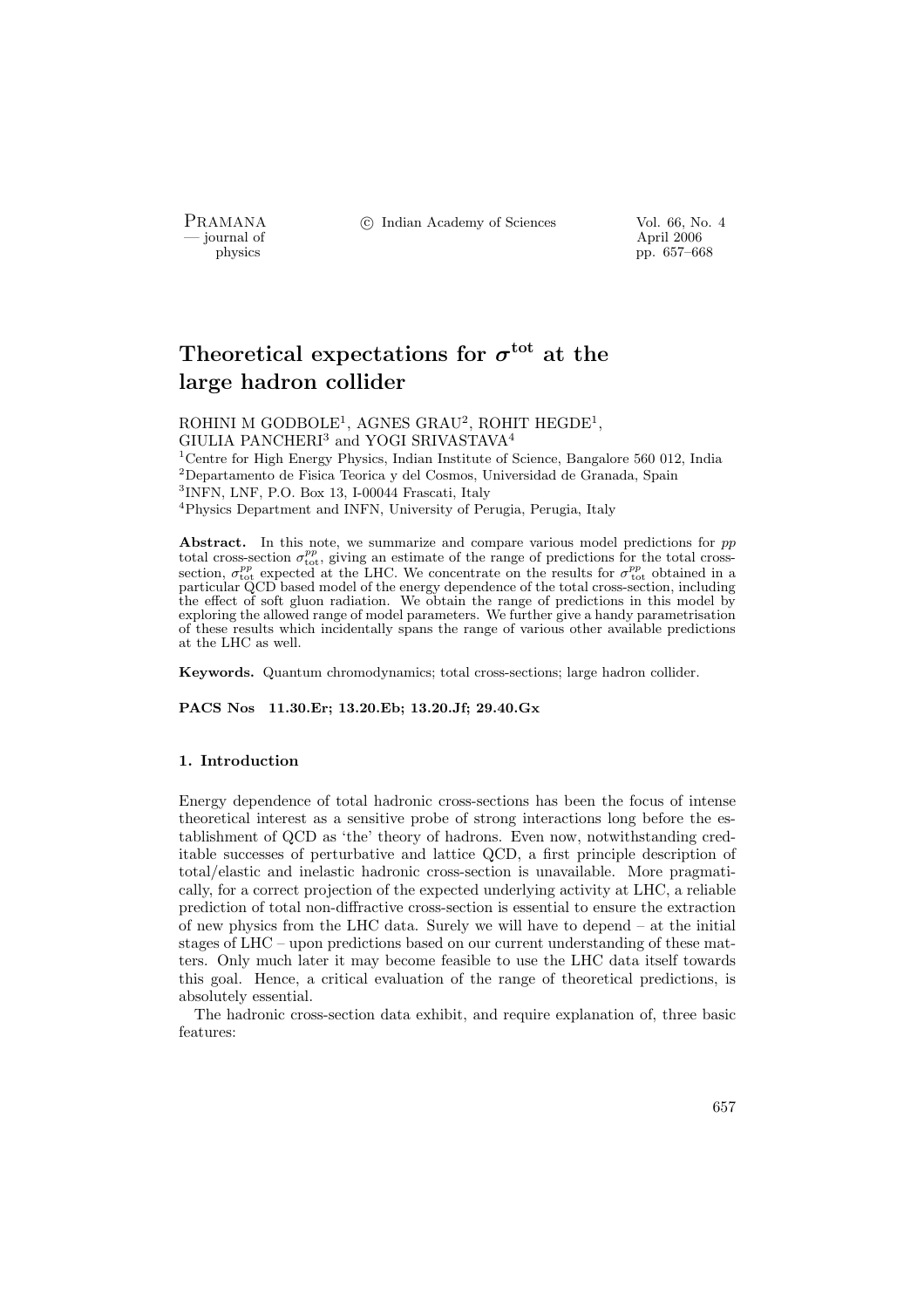- journal of<br>physics

PRAMANA <sup>©</sup>© Indian Academy of Sciences Vol. 66, No. 4<br>
— journal of April 2006

pp. 657–668

# Theoretical expectations for  $\sigma^\mathrm{tot}$  at the large hadron collider

ROHINI M GODBOLE<sup>1</sup>, AGNES GRAU<sup>2</sup>, ROHIT HEGDE<sup>1</sup>, GIULIA PANCHERI<sup>3</sup> and YOGI SRIVASTAVA<sup>4</sup> <sup>1</sup> Centre for High Energy Physics, Indian Institute of Science, Bangalore 560 012, India  $^{2}$ Departamento de Fisica Teorica y del Cosmos, Universidad de Granada, Spain 3 INFN, LNF, P.O. Box 13, I-00044 Frascati, Italy

<sup>4</sup>Physics Department and INFN, University of Perugia, Perugia, Italy

Abstract. In this note, we summarize and compare various model predictions for  $pp$ total cross-section  $\sigma_{\text{tot}}^{pp}$ , giving an estimate of the range of predictions for the total crosssection,  $\sigma_{\text{tot}}^{pp}$  expected at the LHC. We concentrate on the results for  $\sigma_{\text{tot}}^{pp}$  obtained in a particular QCD based model of the energy dependence of the total cross-section, including the effect of soft gluon radiation. We obtain the range of predictions in this model by exploring the allowed range of model parameters. We further give a handy parametrisation of these results which incidentally spans the range of various other available predictions at the LHC as well.

Keywords. Quantum chromodynamics; total cross-sections; large hadron collider.

PACS Nos 11.30.Er; 13.20.Eb; 13.20.Jf; 29.40.Gx

#### 1. Introduction

Energy dependence of total hadronic cross-sections has been the focus of intense theoretical interest as a sensitive probe of strong interactions long before the establishment of QCD as 'the' theory of hadrons. Even now, notwithstanding creditable successes of perturbative and lattice QCD, a first principle description of total/elastic and inelastic hadronic cross-section is unavailable. More pragmatically, for a correct projection of the expected underlying activity at LHC, a reliable prediction of total non-diffractive cross-section is essential to ensure the extraction of new physics from the LHC data. Surely we will have to depend – at the initial stages of LHC – upon predictions based on our current understanding of these matters. Only much later it may become feasible to use the LHC data itself towards this goal. Hence, a critical evaluation of the range of theoretical predictions, is absolutely essential.

The hadronic cross-section data exhibit, and require explanation of, three basic features: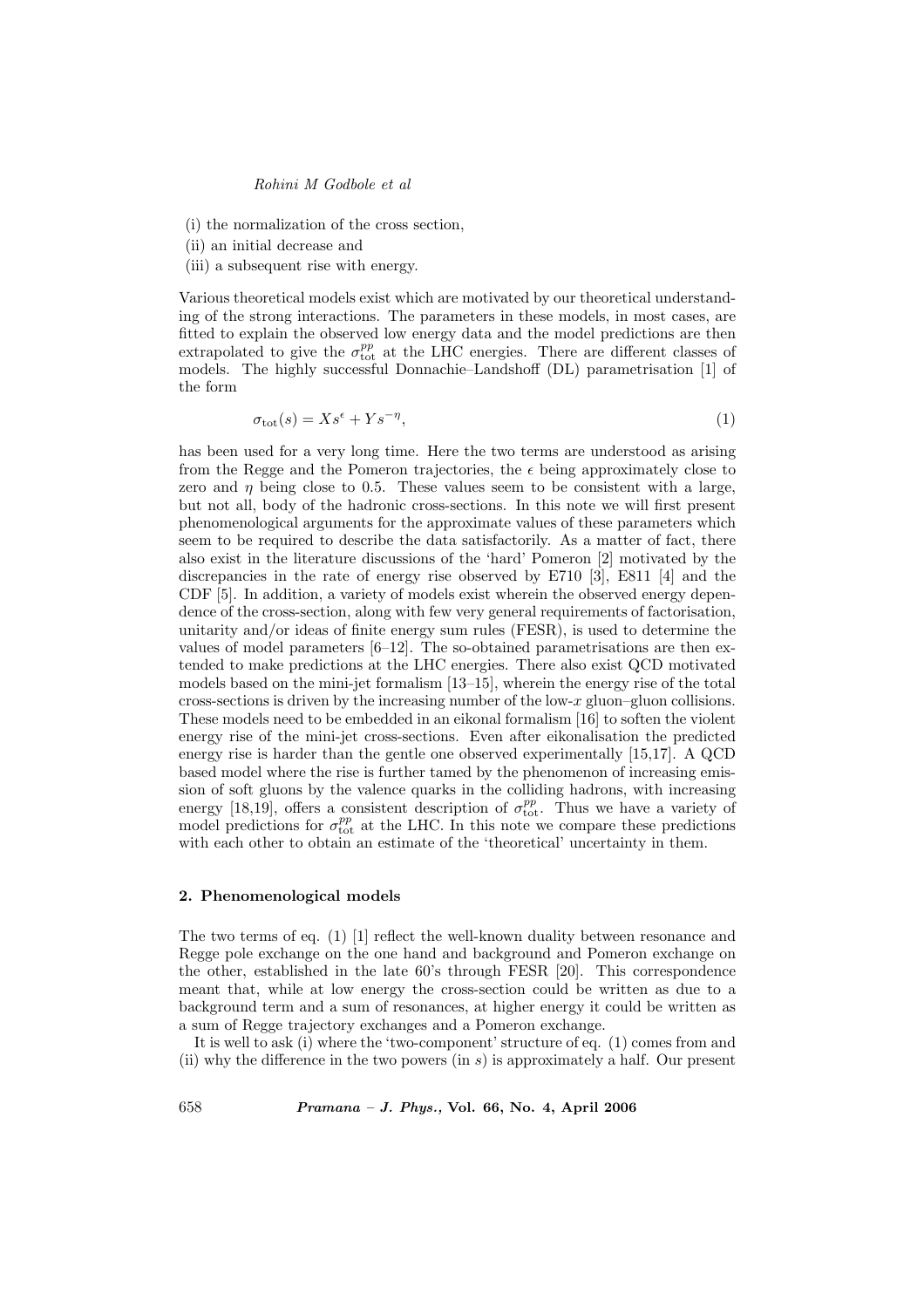(i) the normalization of the cross section,

- (ii) an initial decrease and
- (iii) a subsequent rise with energy.

Various theoretical models exist which are motivated by our theoretical understanding of the strong interactions. The parameters in these models, in most cases, are fitted to explain the observed low energy data and the model predictions are then extrapolated to give the  $\sigma_{\text{tot}}^{pp}$  at the LHC energies. There are different classes of models. The highly successful Donnachie–Landshoff (DL) parametrisation [1] of the form

$$
\sigma_{\text{tot}}(s) = X s^{\epsilon} + Y s^{-\eta},\tag{1}
$$

has been used for a very long time. Here the two terms are understood as arising from the Regge and the Pomeron trajectories, the  $\epsilon$  being approximately close to zero and  $\eta$  being close to 0.5. These values seem to be consistent with a large, but not all, body of the hadronic cross-sections. In this note we will first present phenomenological arguments for the approximate values of these parameters which seem to be required to describe the data satisfactorily. As a matter of fact, there also exist in the literature discussions of the 'hard' Pomeron [2] motivated by the discrepancies in the rate of energy rise observed by E710 [3], E811 [4] and the CDF [5]. In addition, a variety of models exist wherein the observed energy dependence of the cross-section, along with few very general requirements of factorisation, unitarity and/or ideas of finite energy sum rules (FESR), is used to determine the values of model parameters  $[6-12]$ . The so-obtained parametrisations are then extended to make predictions at the LHC energies. There also exist QCD motivated models based on the mini-jet formalism [13–15], wherein the energy rise of the total cross-sections is driven by the increasing number of the low- $x$  gluon–gluon collisions. These models need to be embedded in an eikonal formalism [16] to soften the violent energy rise of the mini-jet cross-sections. Even after eikonalisation the predicted energy rise is harder than the gentle one observed experimentally [15,17]. A QCD based model where the rise is further tamed by the phenomenon of increasing emission of soft gluons by the valence quarks in the colliding hadrons, with increasing energy [18,19], offers a consistent description of  $\sigma_{\text{tot}}^{pp}$ . Thus we have a variety of model predictions for  $\sigma_{\text{tot}}^{pp}$  at the LHC. In this note we compare these predictions with each other to obtain an estimate of the 'theoretical' uncertainty in them.

#### 2. Phenomenological models

The two terms of eq. (1) [1] reflect the well-known duality between resonance and Regge pole exchange on the one hand and background and Pomeron exchange on the other, established in the late 60's through FESR [20]. This correspondence meant that, while at low energy the cross-section could be written as due to a background term and a sum of resonances, at higher energy it could be written as a sum of Regge trajectory exchanges and a Pomeron exchange.

It is well to ask (i) where the 'two-component' structure of eq. (1) comes from and (ii) why the difference in the two powers (in  $s$ ) is approximately a half. Our present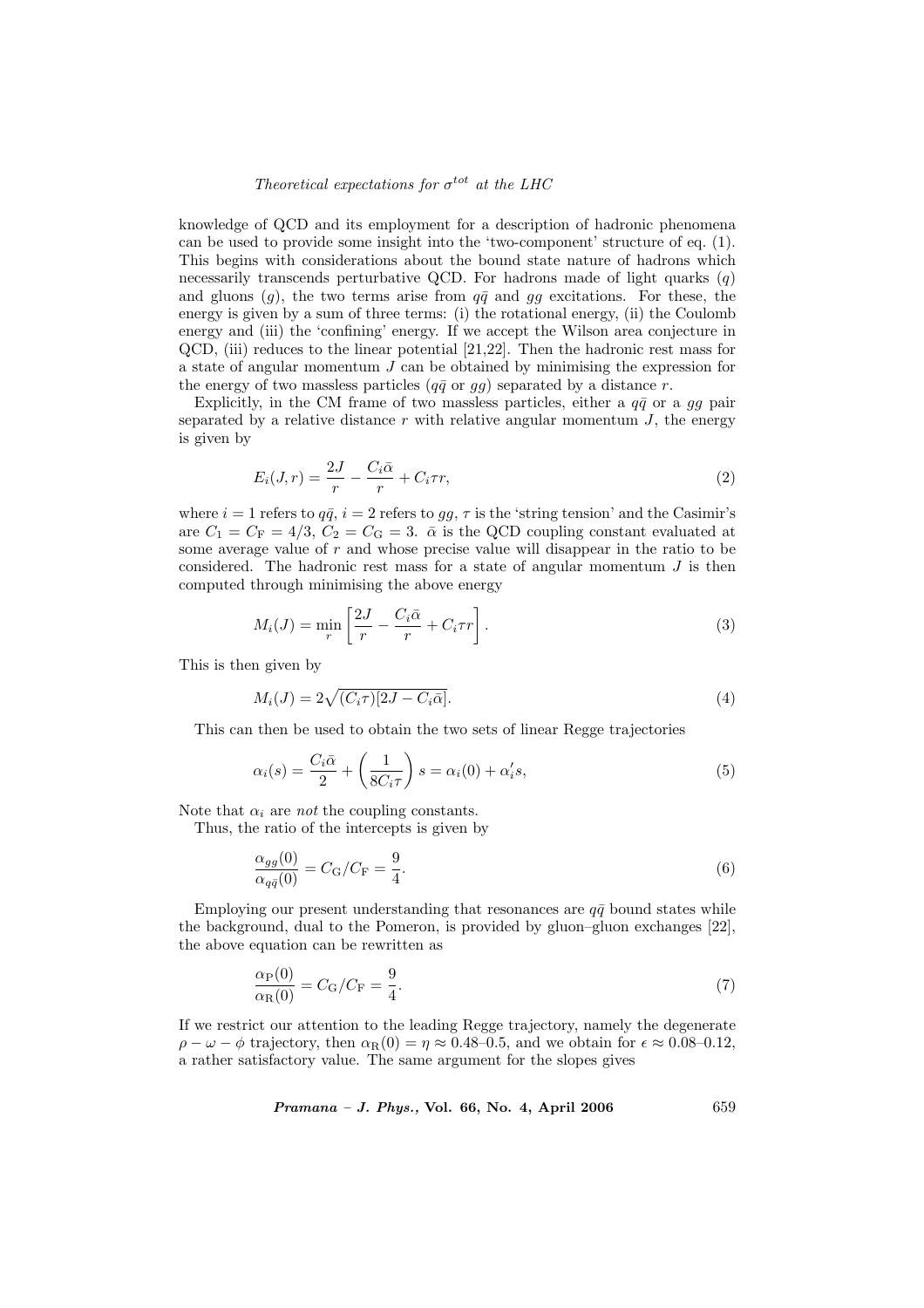## Theoretical expectations for  $\sigma^{tot}$  at the LHC

knowledge of QCD and its employment for a description of hadronic phenomena can be used to provide some insight into the 'two-component' structure of eq. (1). This begins with considerations about the bound state nature of hadrons which necessarily transcends perturbative QCD. For hadrons made of light quarks  $(q)$ and gluons (g), the two terms arise from  $q\bar{q}$  and gg excitations. For these, the energy is given by a sum of three terms: (i) the rotational energy, (ii) the Coulomb energy and (iii) the 'confining' energy. If we accept the Wilson area conjecture in QCD, (iii) reduces to the linear potential [21,22]. Then the hadronic rest mass for a state of angular momentum  $J$  can be obtained by minimising the expression for the energy of two massless particles  $(q\bar{q}$  or  $gg)$  separated by a distance r.

Explicitly, in the CM frame of two massless particles, either a  $q\bar{q}$  or a gg pair separated by a relative distance  $r$  with relative angular momentum  $J$ , the energy is given by

$$
E_i(J,r) = \frac{2J}{r} - \frac{C_i\bar{\alpha}}{r} + C_i\tau r,\tag{2}
$$

where  $i = 1$  refers to  $q\bar{q}$ ,  $i = 2$  refers to  $gg$ ,  $\tau$  is the 'string tension' and the Casimir's are  $C_1 = C_F = 4/3$ ,  $C_2 = C_G = 3$ .  $\bar{\alpha}$  is the QCD coupling constant evaluated at some average value of r and whose precise value will disappear in the ratio to be considered. The hadronic rest mass for a state of angular momentum  $J$  is then computed through minimising the above energy

$$
M_i(J) = \min_r \left[ \frac{2J}{r} - \frac{C_i \bar{\alpha}}{r} + C_i \tau r \right].
$$
 (3)

This is then given by

$$
M_i(J) = 2\sqrt{(C_i \tau)[2J - C_i \bar{\alpha}]}.
$$
\n
$$
(4)
$$

This can then be used to obtain the two sets of linear Regge trajectories

$$
\alpha_i(s) = \frac{C_i \bar{\alpha}}{2} + \left(\frac{1}{8C_i \tau}\right)s = \alpha_i(0) + \alpha_i's,\tag{5}
$$

Note that  $\alpha_i$  are *not* the coupling constants.

Thus, the ratio of the intercepts is given by

$$
\frac{\alpha_{gg}(0)}{\alpha_{q\bar{q}}(0)} = C_{\rm G}/C_{\rm F} = \frac{9}{4}.\tag{6}
$$

Employing our present understanding that resonances are  $q\bar{q}$  bound states while the background, dual to the Pomeron, is provided by gluon–gluon exchanges [22], the above equation can be rewritten as

$$
\frac{\alpha_{\rm P}(0)}{\alpha_{\rm R}(0)} = C_{\rm G}/C_{\rm F} = \frac{9}{4}.\tag{7}
$$

If we restrict our attention to the leading Regge trajectory, namely the degenerate  $\rho - \omega - \phi$  trajectory, then  $\alpha_R(0) = \eta \approx 0.48{\text -}0.5$ , and we obtain for  $\epsilon \approx 0.08{\text -}0.12$ , a rather satisfactory value. The same argument for the slopes gives

Pramana – J. Phys., Vol. 66, No. 4, April 2006 659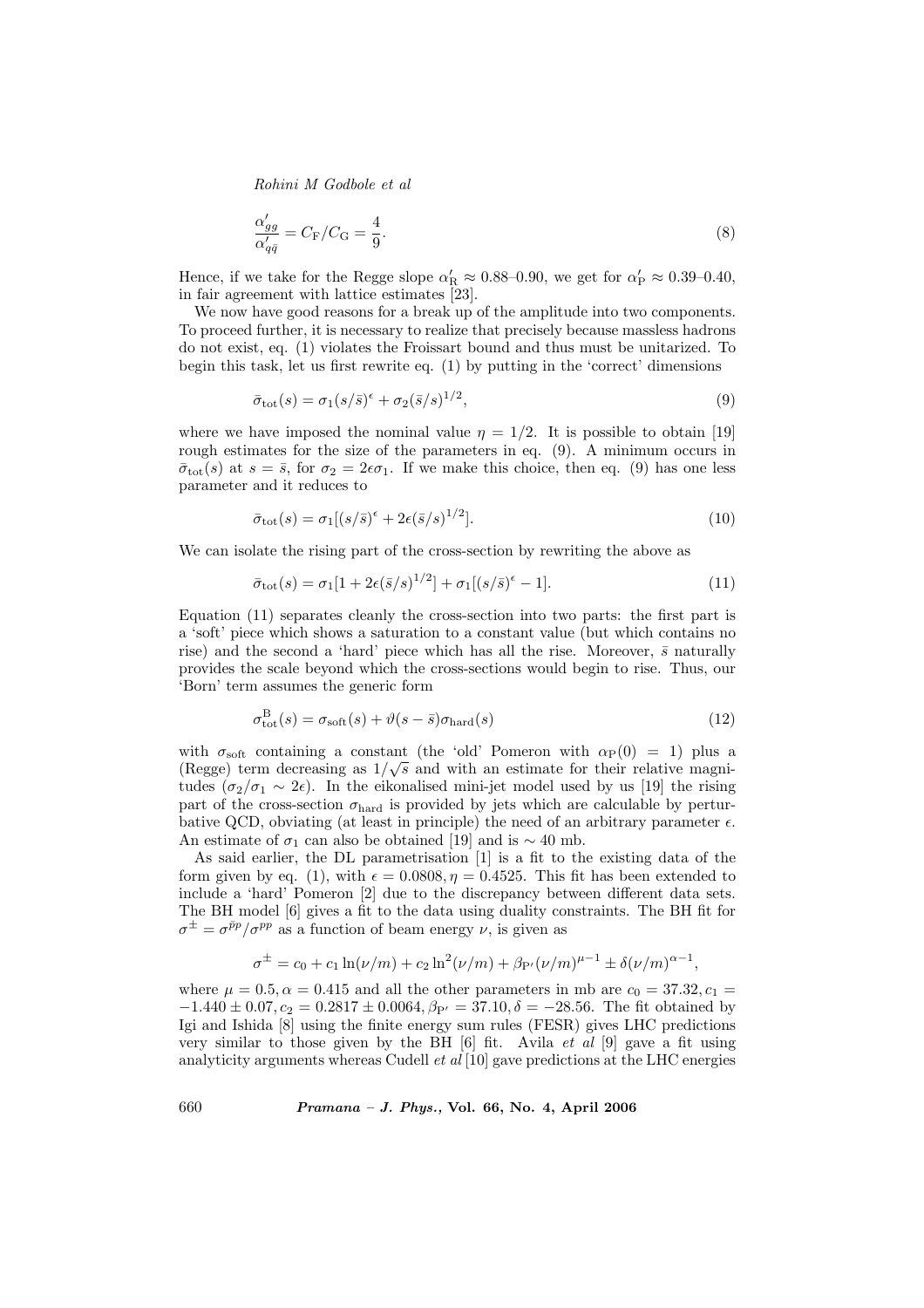$$
\frac{\alpha'_{gg}}{\alpha'_{q\bar{q}}} = C_{\rm F}/C_{\rm G} = \frac{4}{9}.\tag{8}
$$

Hence, if we take for the Regge slope  $\alpha'_R \approx 0.88{\text -}0.90$ , we get for  $\alpha'_P \approx 0.39{\text -}0.40$ , in fair agreement with lattice estimates [23].

We now have good reasons for a break up of the amplitude into two components. To proceed further, it is necessary to realize that precisely because massless hadrons do not exist, eq. (1) violates the Froissart bound and thus must be unitarized. To begin this task, let us first rewrite eq. (1) by putting in the 'correct' dimensions

$$
\bar{\sigma}_{\text{tot}}(s) = \sigma_1 (s/\bar{s})^{\epsilon} + \sigma_2 (\bar{s}/s)^{1/2},\tag{9}
$$

where we have imposed the nominal value  $\eta = 1/2$ . It is possible to obtain [19] rough estimates for the size of the parameters in eq. (9). A minimum occurs in  $\bar{\sigma}_{\text{tot}}(s)$  at  $s = \bar{s}$ , for  $\sigma_2 = 2\epsilon\sigma_1$ . If we make this choice, then eq. (9) has one less parameter and it reduces to

$$
\bar{\sigma}_{\text{tot}}(s) = \sigma_1[(s/\bar{s})^{\epsilon} + 2\epsilon(\bar{s}/s)^{1/2}].\tag{10}
$$

We can isolate the rising part of the cross-section by rewriting the above as

$$
\bar{\sigma}_{\text{tot}}(s) = \sigma_1 [1 + 2\epsilon (\bar{s}/s)^{1/2}] + \sigma_1 [(s/\bar{s})^{\epsilon} - 1]. \tag{11}
$$

Equation (11) separates cleanly the cross-section into two parts: the first part is a 'soft' piece which shows a saturation to a constant value (but which contains no rise) and the second a 'hard' piece which has all the rise. Moreover,  $\bar{s}$  naturally provides the scale beyond which the cross-sections would begin to rise. Thus, our 'Born' term assumes the generic form

$$
\sigma_{\text{tot}}^{\text{B}}(s) = \sigma_{\text{soft}}(s) + \vartheta(s - \bar{s})\sigma_{\text{hard}}(s)
$$
\n(12)

with  $\sigma_{\text{soft}}$  containing a constant (the 'old' Pomeron with  $\alpha_{\text{P}}(0) = 1$ ) plus a (Regge) term decreasing as  $1/\sqrt{s}$  and with an estimate for their relative magnitudes ( $\sigma_2/\sigma_1 \sim 2\epsilon$ ). In the eikonalised mini-jet model used by us [19] the rising part of the cross-section  $\sigma_{\text{hard}}$  is provided by jets which are calculable by perturbative QCD, obviating (at least in principle) the need of an arbitrary parameter  $\epsilon$ . An estimate of  $\sigma_1$  can also be obtained [19] and is ~ 40 mb.

As said earlier, the DL parametrisation [1] is a fit to the existing data of the form given by eq. (1), with  $\epsilon = 0.0808$ ,  $\eta = 0.4525$ . This fit has been extended to include a 'hard' Pomeron [2] due to the discrepancy between different data sets. The BH model [6] gives a fit to the data using duality constraints. The BH fit for  $\sigma^{\pm} = \sigma^{\bar{p}p}/\sigma^{pp}$  as a function of beam energy  $\nu$ , is given as

$$
\sigma^{\pm} = c_0 + c_1 \ln(\nu/m) + c_2 \ln^2(\nu/m) + \beta_{P'}(\nu/m)^{\mu-1} \pm \delta(\nu/m)^{\alpha-1},
$$

where  $\mu = 0.5, \alpha = 0.415$  and all the other parameters in mb are  $c_0 = 37.32, c_1 =$  $-1.440 \pm 0.07$ ,  $c_2 = 0.2817 \pm 0.0064$ ,  $\beta_{P'} = 37.10$ ,  $\delta = -28.56$ . The fit obtained by Igi and Ishida [8] using the finite energy sum rules (FESR) gives LHC predictions very similar to those given by the BH  $[6]$  fit. Avila *et al*  $[9]$  gave a fit using analyticity arguments whereas Cudell  $et$   $al$  [10] gave predictions at the LHC energies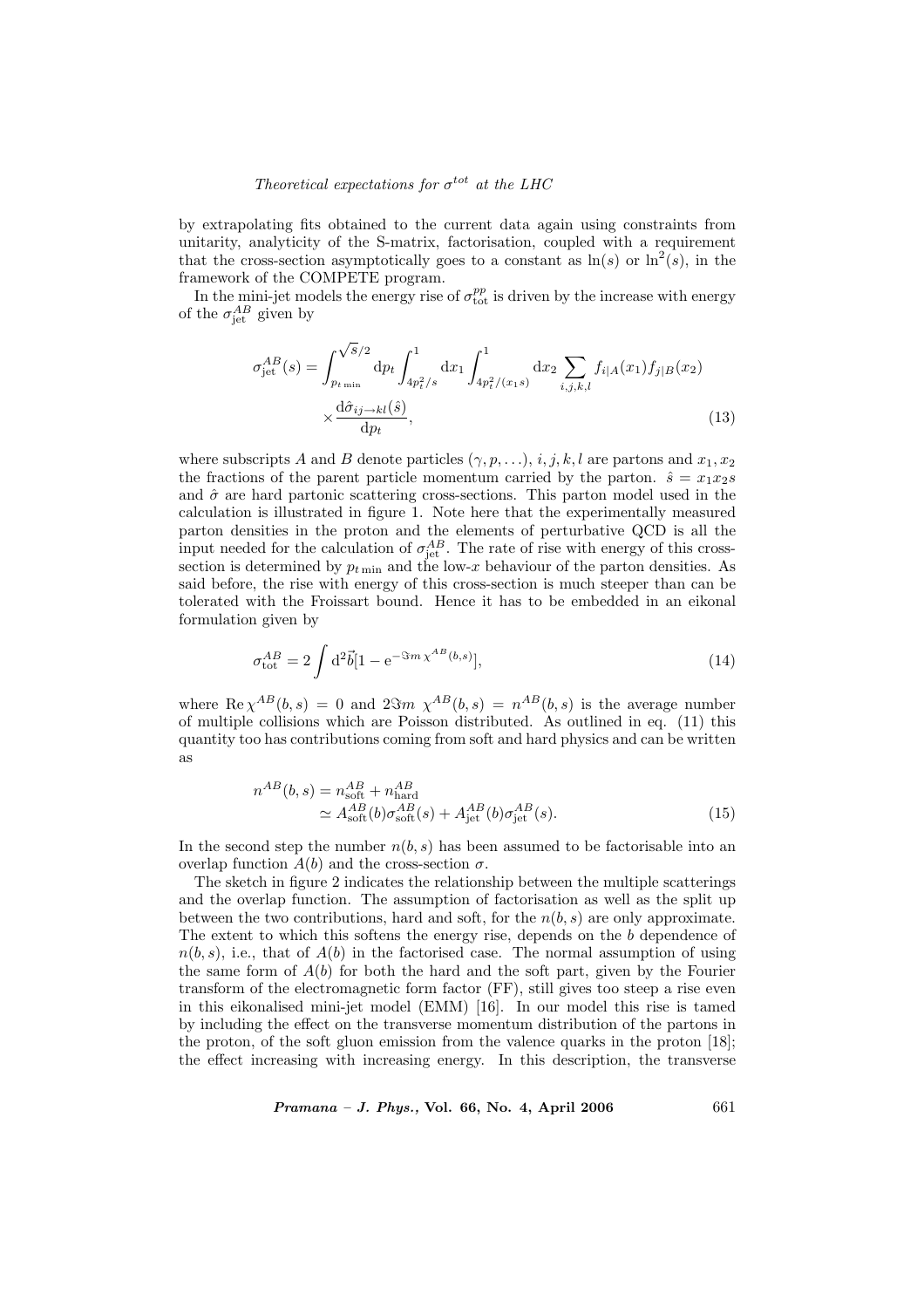## Theoretical expectations for  $\sigma^{tot}$  at the LHC

by extrapolating fits obtained to the current data again using constraints from unitarity, analyticity of the S-matrix, factorisation, coupled with a requirement that the cross-section asymptotically goes to a constant as  $\ln(s)$  or  $\ln^2(s)$ , in the framework of the COMPETE program.

In the mini-jet models the energy rise of  $\sigma_{\text{tot}}^{pp}$  is driven by the increase with energy of the  $\sigma_{\rm jet}^{AB}$  given by

$$
\sigma_{\text{jet}}^{AB}(s) = \int_{p_{t_{\text{min}}}}^{\sqrt{S}/2} \mathrm{d}p_t \int_{4p_t^2/s}^1 \mathrm{d}x_1 \int_{4p_t^2/(x_1s)}^1 \mathrm{d}x_2 \sum_{i,j,k,l} f_{i|A}(x_1) f_{j|B}(x_2) \times \frac{\mathrm{d}\hat{\sigma}_{ij \to kl}(\hat{s})}{\mathrm{d}p_t},
$$
\n(13)

where subscripts A and B denote particles  $(\gamma, p, \ldots), i, j, k, l$  are partons and  $x_1, x_2$ the fractions of the parent particle momentum carried by the parton.  $\hat{s} = x_1x_2s$ and  $\hat{\sigma}$  are hard partonic scattering cross-sections. This parton model used in the calculation is illustrated in figure 1. Note here that the experimentally measured parton densities in the proton and the elements of perturbative QCD is all the input needed for the calculation of  $\sigma_{\rm jet}^{AB}$ . The rate of rise with energy of this crosssection is determined by  $p_{t \min}$  and the low-x behaviour of the parton densities. As said before, the rise with energy of this cross-section is much steeper than can be tolerated with the Froissart bound. Hence it has to be embedded in an eikonal formulation given by

$$
\sigma_{\text{tot}}^{AB} = 2 \int d^2 \vec{b} [1 - e^{-\Im m \chi^{AB}(b,s)}], \tag{14}
$$

where  $\text{Re }\chi^{AB}(b,s) = 0$  and  $2\Im m \chi^{AB}(b,s) = n^{AB}(b,s)$  is the average number of multiple collisions which are Poisson distributed. As outlined in eq. (11) this quantity too has contributions coming from soft and hard physics and can be written as

$$
n^{AB}(b,s) = n_{\text{soft}}^{AB} + n_{\text{hard}}^{AB}
$$
  
\n
$$
\simeq A_{\text{soft}}^{AB}(b)\sigma_{\text{soft}}^{AB}(s) + A_{\text{jet}}^{AB}(b)\sigma_{\text{jet}}^{AB}(s). \tag{15}
$$

In the second step the number  $n(b, s)$  has been assumed to be factorisable into an overlap function  $A(b)$  and the cross-section  $\sigma$ .

The sketch in figure 2 indicates the relationship between the multiple scatterings and the overlap function. The assumption of factorisation as well as the split up between the two contributions, hard and soft, for the  $n(b, s)$  are only approximate. The extent to which this softens the energy rise, depends on the b dependence of  $n(b, s)$ , i.e., that of  $A(b)$  in the factorised case. The normal assumption of using the same form of  $A(b)$  for both the hard and the soft part, given by the Fourier transform of the electromagnetic form factor (FF), still gives too steep a rise even in this eikonalised mini-jet model (EMM) [16]. In our model this rise is tamed by including the effect on the transverse momentum distribution of the partons in the proton, of the soft gluon emission from the valence quarks in the proton [18]; the effect increasing with increasing energy. In this description, the transverse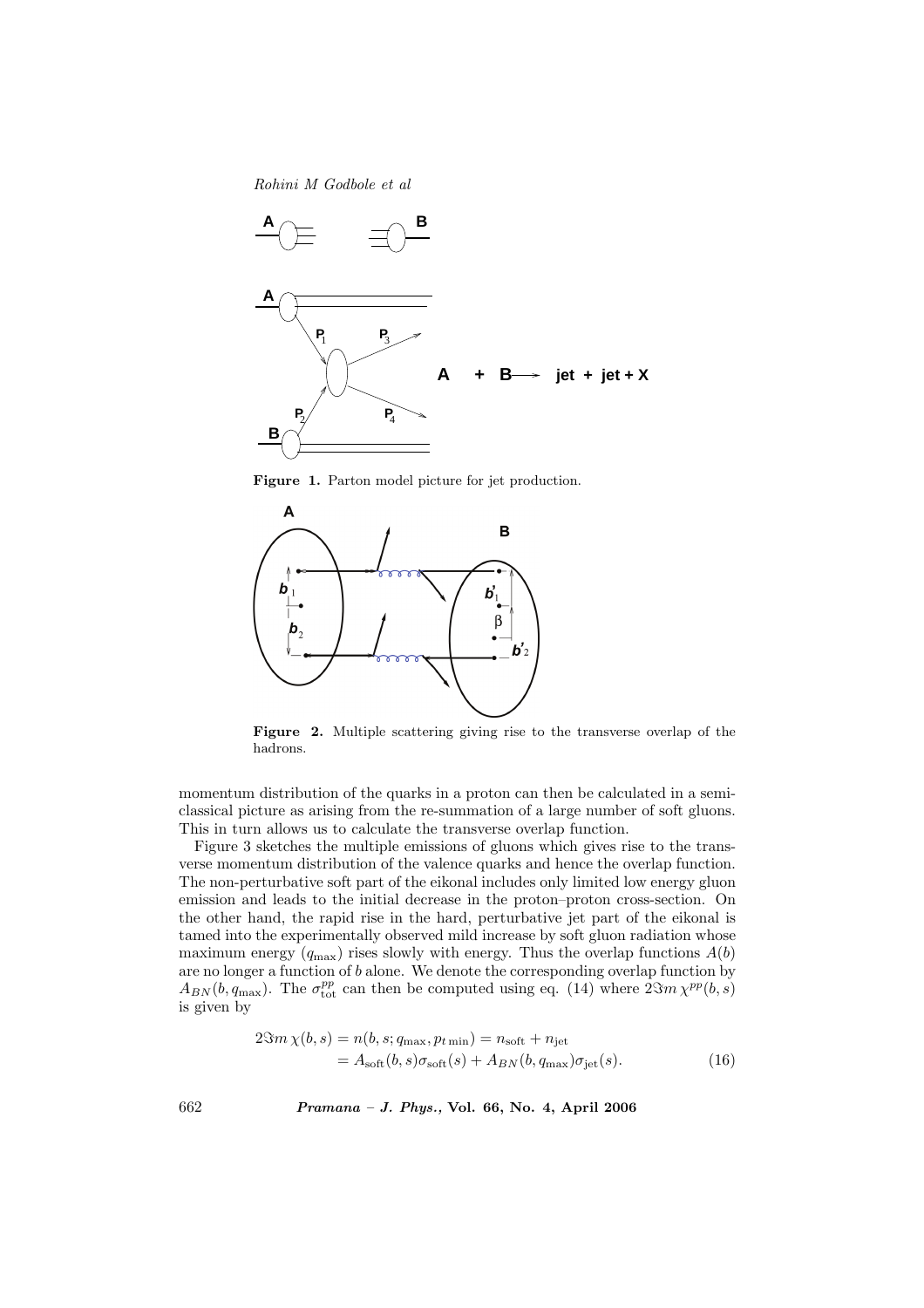Rohini M Godbole et al



Figure 1. Parton model picture for jet production.



Figure 2. Multiple scattering giving rise to the transverse overlap of the hadrons.

momentum distribution of the quarks in a proton can then be calculated in a semiclassical picture as arising from the re-summation of a large number of soft gluons. This in turn allows us to calculate the transverse overlap function.

Figure 3 sketches the multiple emissions of gluons which gives rise to the transverse momentum distribution of the valence quarks and hence the overlap function. The non-perturbative soft part of the eikonal includes only limited low energy gluon emission and leads to the initial decrease in the proton–proton cross-section. On the other hand, the rapid rise in the hard, perturbative jet part of the eikonal is tamed into the experimentally observed mild increase by soft gluon radiation whose maximum energy  $(q_{\text{max}})$  rises slowly with energy. Thus the overlap functions  $A(b)$ are no longer a function of b alone. We denote the corresponding overlap function by  $A_{BN}(b,q_{\text{max}})$ . The  $\sigma_{\text{tot}}^{pp}$  can then be computed using eq. (14) where  $2\Im m\chi^{pp}(b,s)$ is given by

$$
2\Im m\,\chi(b,s) = n(b,s;q_{\text{max}},p_{t\,\text{min}}) = n_{\text{soft}} + n_{\text{jet}}
$$
  
=  $A_{\text{soft}}(b,s)\sigma_{\text{soft}}(s) + A_{BN}(b,q_{\text{max}})\sigma_{\text{jet}}(s).$  (16)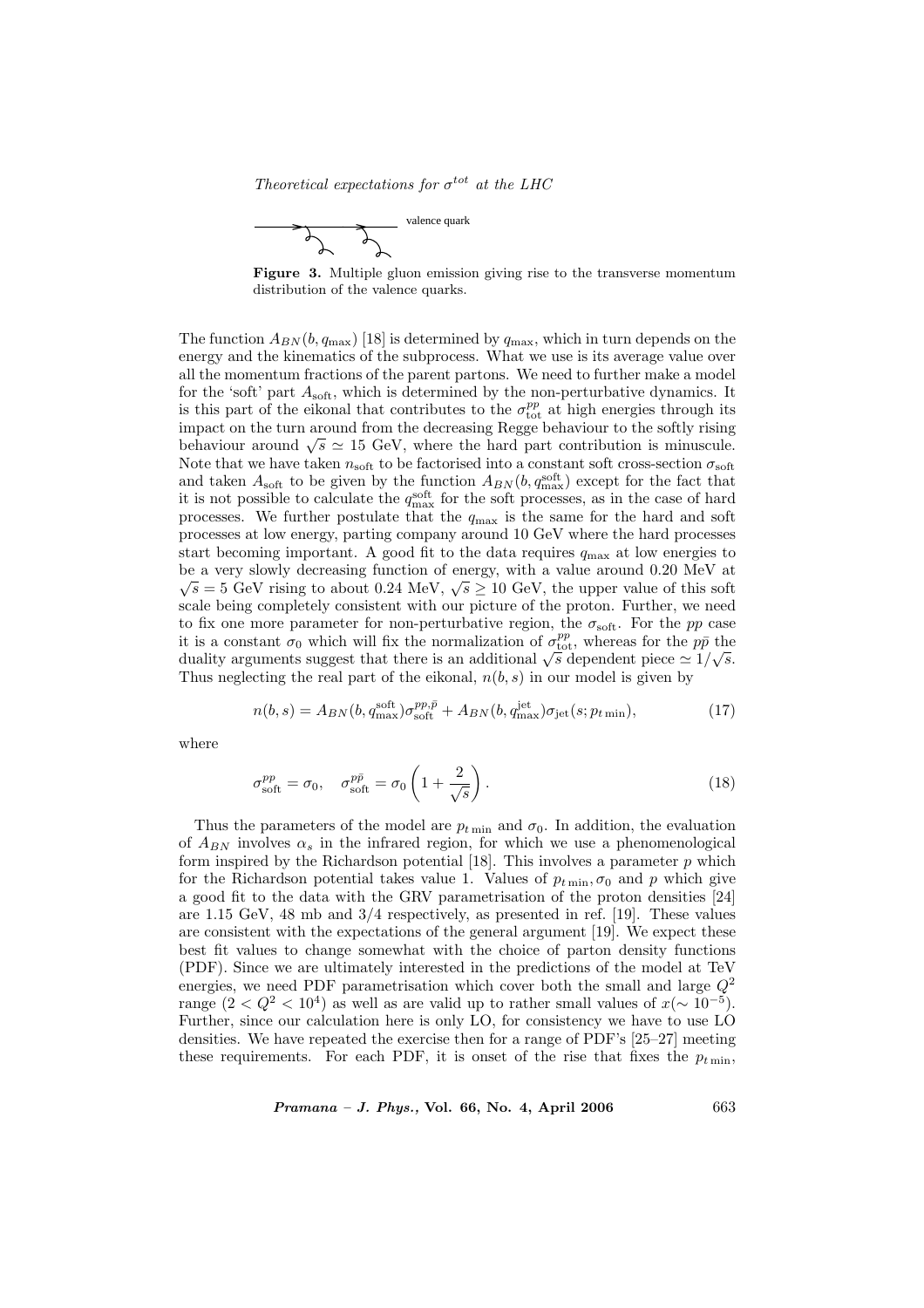Theoretical expectations for  $\sigma^{tot}$  at the LHC





The function  $A_{BN}(b, q_{\text{max}})$  [18] is determined by  $q_{\text{max}}$ , which in turn depends on the energy and the kinematics of the subprocess. What we use is its average value over all the momentum fractions of the parent partons. We need to further make a model for the 'soft' part  $A_{\text{soft}}$ , which is determined by the non-perturbative dynamics. It is this part of the eikonal that contributes to the  $\sigma_{\text{tot}}^{pp}$  at high energies through its impact on the turn around from the decreasing Regge behaviour to the softly rising mipact on the turn around from the decreasing regge behaviour to the soltly rising<br>behaviour around  $\sqrt{s} \simeq 15$  GeV, where the hard part contribution is minuscule. Note that we have taken  $n_{\text{soft}}$  to be factorised into a constant soft cross-section  $\sigma_{\text{soft}}$ and taken  $A_{\text{soft}}$  to be given by the function  $A_{BN}(b, q_{\text{max}}^{\text{soft}})$  except for the fact that it is not possible to calculate the  $q_{\text{max}}^{\text{soft}}$  for the soft processes, as in the case of hard processes. We further postulate that the  $q_{\text{max}}$  is the same for the hard and soft processes at low energy, parting company around 10 GeV where the hard processes start becoming important. A good fit to the data requires  $q_{\text{max}}$  at low energies to be a very slowly decreasing function of energy, with a value around 0.20 MeV at  $\overline{C}$ s a very slowly decreasing function of energy, with a value around 0.20 MeV at  $\overline{s} = 5$  GeV rising to about 0.24 MeV,  $\sqrt{s} \ge 10$  GeV, the upper value of this soft scale being completely consistent with our picture of the proton. Further, we need to fix one more parameter for non-perturbative region, the  $\sigma_{soft}$ . For the pp case it is a constant  $\sigma_0$  which will fix the normalization of  $\sigma_{\text{tot}}^{pp}$ , whereas for the  $p\bar{p}$  the to it is a constant  $\sigma_0$  which will fix the normalization of  $\sigma_{\rm tot}^2$ , whereas for the pp the duality arguments suggest that there is an additional  $\sqrt{s}$  dependent piece  $\simeq 1/\sqrt{s}$ . Thus neglecting the real part of the eikonal,  $n(b, s)$  in our model is given by

$$
n(b,s) = A_{BN}(b,q_{\text{max}}^{\text{soft}})\sigma_{\text{soft}}^{pp,\bar{p}} + A_{BN}(b,q_{\text{max}}^{\text{jet}})\sigma_{\text{jet}}(s;p_{t\text{ min}}),
$$
\n(17)

where

$$
\sigma_{\text{soft}}^{pp} = \sigma_0, \quad \sigma_{\text{soft}}^{p\bar{p}} = \sigma_0 \left( 1 + \frac{2}{\sqrt{s}} \right). \tag{18}
$$

Thus the parameters of the model are  $p_{t \text{min}}$  and  $\sigma_0$ . In addition, the evaluation of  $A_{BN}$  involves  $\alpha_s$  in the infrared region, for which we use a phenomenological form inspired by the Richardson potential  $[18]$ . This involves a parameter  $p$  which for the Richardson potential takes value 1. Values of  $p_{t \text{min}}, \sigma_0$  and p which give a good fit to the data with the GRV parametrisation of the proton densities [24] are 1.15 GeV, 48 mb and 3/4 respectively, as presented in ref. [19]. These values are consistent with the expectations of the general argument [19]. We expect these best fit values to change somewhat with the choice of parton density functions (PDF). Since we are ultimately interested in the predictions of the model at TeV energies, we need PDF parametrisation which cover both the small and large  $Q^2$ range  $(2 < Q^2 < 10^4)$  as well as are valid up to rather small values of  $x (\sim 10^{-5})$ . Further, since our calculation here is only LO, for consistency we have to use LO densities. We have repeated the exercise then for a range of PDF's [25–27] meeting these requirements. For each PDF, it is onset of the rise that fixes the  $p_{t min}$ ,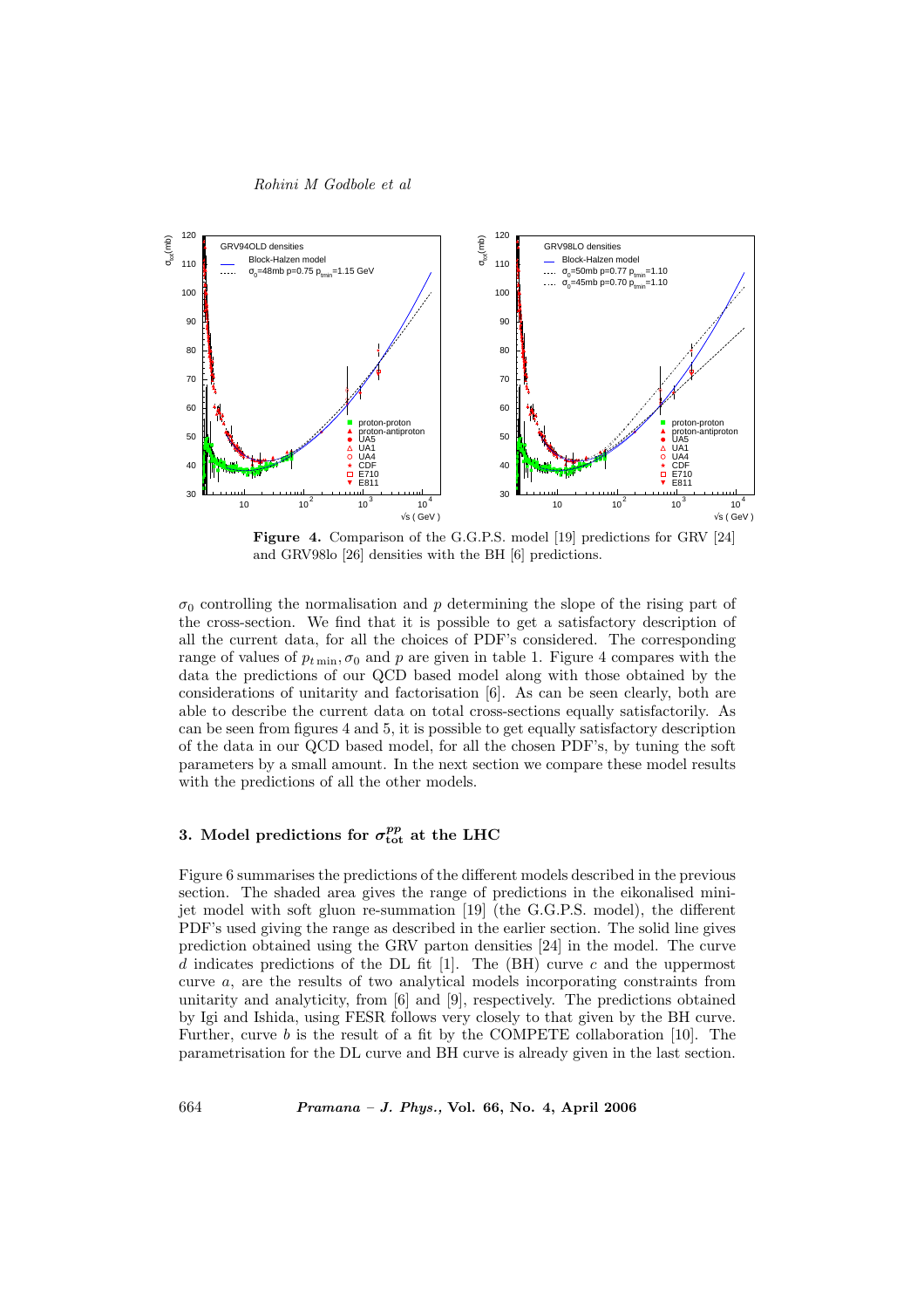

Figure 4. Comparison of the G.G.P.S. model [19] predictions for GRV [24] and GRV98lo [26] densities with the BH [6] predictions.

 $\sigma_0$  controlling the normalisation and p determining the slope of the rising part of the cross-section. We find that it is possible to get a satisfactory description of all the current data, for all the choices of PDF's considered. The corresponding range of values of  $p_{t \text{min}}$ ,  $\sigma_0$  and p are given in table 1. Figure 4 compares with the data the predictions of our QCD based model along with those obtained by the considerations of unitarity and factorisation [6]. As can be seen clearly, both are able to describe the current data on total cross-sections equally satisfactorily. As can be seen from figures 4 and 5, it is possible to get equally satisfactory description of the data in our QCD based model, for all the chosen PDF's, by tuning the soft parameters by a small amount. In the next section we compare these model results with the predictions of all the other models.

## 3. Model predictions for  $\sigma_{\rm tot}^{pp}$  at the LHC

Figure 6 summarises the predictions of the different models described in the previous section. The shaded area gives the range of predictions in the eikonalised minijet model with soft gluon re-summation [19] (the G.G.P.S. model), the different PDF's used giving the range as described in the earlier section. The solid line gives prediction obtained using the GRV parton densities [24] in the model. The curve d indicates predictions of the DL fit [1]. The (BH) curve c and the uppermost curve a, are the results of two analytical models incorporating constraints from unitarity and analyticity, from [6] and [9], respectively. The predictions obtained by Igi and Ishida, using FESR follows very closely to that given by the BH curve. Further, curve  $b$  is the result of a fit by the COMPETE collaboration [10]. The parametrisation for the DL curve and BH curve is already given in the last section.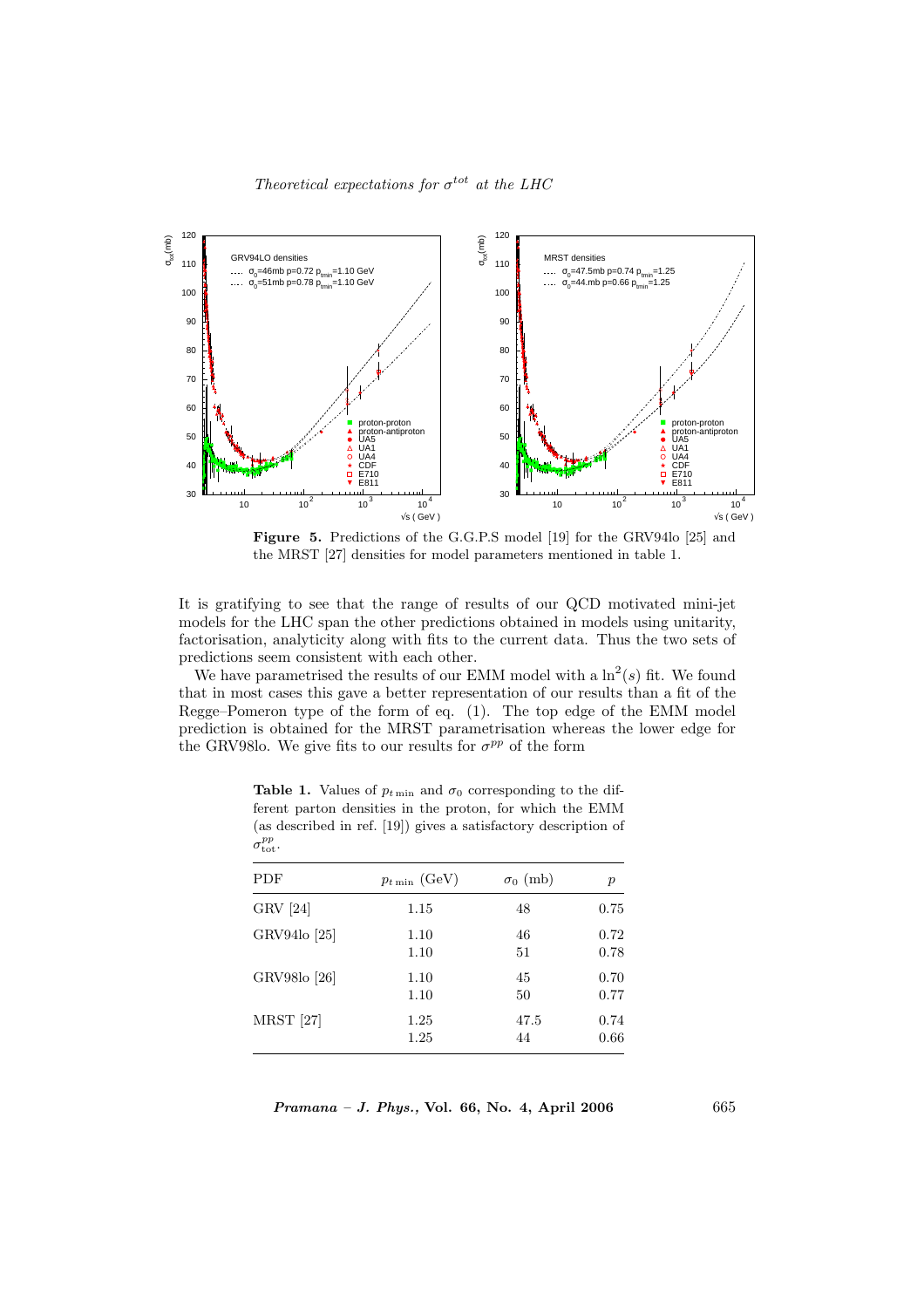

Figure 5. Predictions of the G.G.P.S model [19] for the GRV94lo [25] and the MRST [27] densities for model parameters mentioned in table 1.

It is gratifying to see that the range of results of our QCD motivated mini-jet models for the LHC span the other predictions obtained in models using unitarity, factorisation, analyticity along with fits to the current data. Thus the two sets of predictions seem consistent with each other.

We have parametrised the results of our EMM model with a  $\ln^2(s)$  fit. We found that in most cases this gave a better representation of our results than a fit of the Regge–Pomeron type of the form of eq. (1). The top edge of the EMM model prediction is obtained for the MRST parametrisation whereas the lower edge for the GRV98lo. We give fits to our results for  $\sigma^{pp}$  of the form

| <b>PDF</b>       | $p_{t \min}$ (GeV) | $\sigma_0$ (mb) | $\boldsymbol{p}$ |
|------------------|--------------------|-----------------|------------------|
| GRV [24]         | 1.15               | 48              | 0.75             |
| GRV94lo [25]     | 1.10               | 46              | 0.72             |
|                  | 1.10               | 51              | 0.78             |
| GRV98lo [26]     | 1.10               | 45              | 0.70             |
|                  | 1.10               | 50              | 0.77             |
| <b>MRST</b> [27] | 1.25               | 47.5            | 0.74             |
|                  | 1.25               | 44              | 0.66             |

**Table 1.** Values of  $p_{t \text{min}}$  and  $\sigma_0$  corresponding to the different parton densities in the proton, for which the EMM (as described in ref. [19]) gives a satisfactory description of  $\sigma_{\rm tot}^{pp}$ .

 $Pramana - J. Phys., Vol. 66, No. 4, April 2006$  665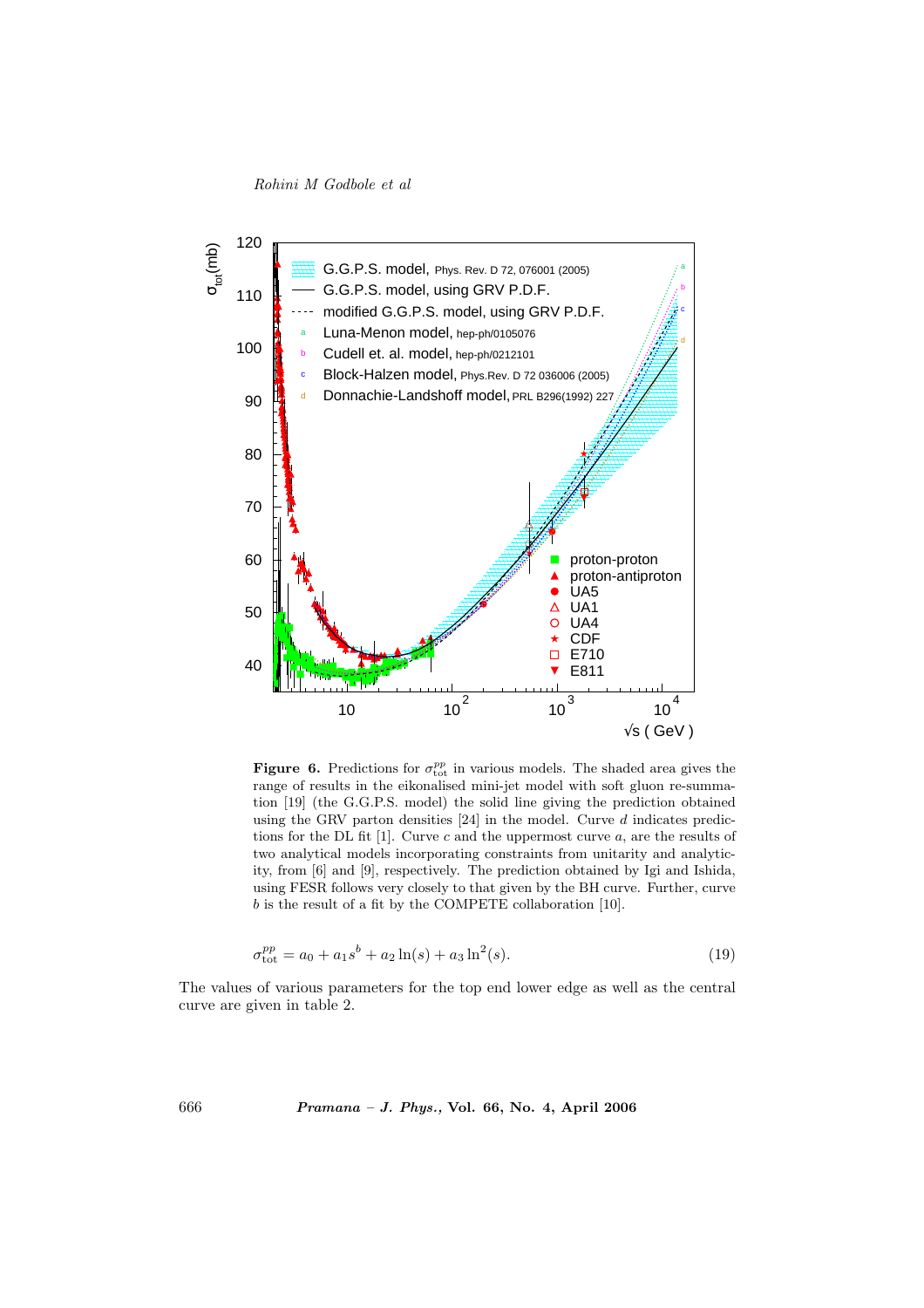Rohini M Godbole et al



**Figure 6.** Predictions for  $\sigma_{\text{tot}}^{pp}$  in various models. The shaded area gives the range of results in the eikonalised mini-jet model with soft gluon re-summation [19] (the G.G.P.S. model) the solid line giving the prediction obtained using the GRV parton densities  $[24]$  in the model. Curve  $d$  indicates predictions for the DL fit [1]. Curve c and the uppermost curve  $a$ , are the results of two analytical models incorporating constraints from unitarity and analyticity, from [6] and [9], respectively. The prediction obtained by Igi and Ishida, using FESR follows very closely to that given by the BH curve. Further, curve b is the result of a fit by the COMPETE collaboration [10].

$$
\sigma_{\text{tot}}^{pp} = a_0 + a_1 s^b + a_2 \ln(s) + a_3 \ln^2(s). \tag{19}
$$

The values of various parameters for the top end lower edge as well as the central curve are given in table 2.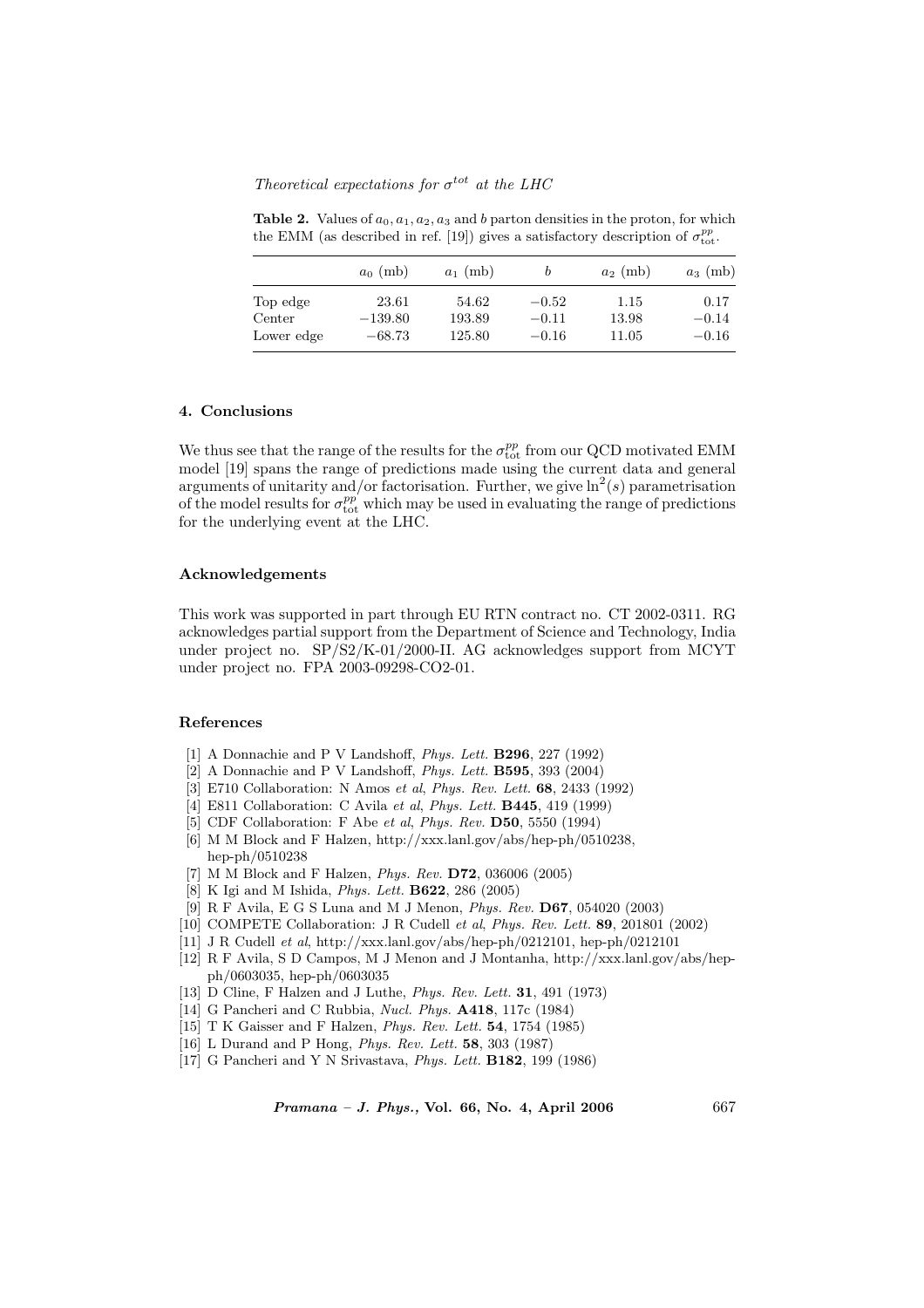Theoretical expectations for  $\sigma^{tot}$  at the LHC

Table 2. Values of  $a_0, a_1, a_2, a_3$  and b parton densities in the proton, for which the EMM (as described in ref. [19]) gives a satisfactory description of  $\sigma_{\text{tot}}^{pp}$ .

|            | $a_0$ (mb) | $a_1$ (mb) |         | $a_2$ (mb) | $a_3$ (mb) |
|------------|------------|------------|---------|------------|------------|
| Top edge   | 23.61      | 54.62      | $-0.52$ | 1.15       | 0.17       |
| Center     | $-139.80$  | 193.89     | $-0.11$ | 13.98      | $-0.14$    |
| Lower edge | $-68.73$   | 125.80     | $-0.16$ | 11.05      | $-0.16$    |

#### 4. Conclusions

We thus see that the range of the results for the  $\sigma_{\rm tot}^{pp}$  from our QCD motivated EMM model [19] spans the range of predictions made using the current data and general arguments of unitarity and/or factorisation. Further, we give  $\ln^2(s)$  parametrisation of the model results for  $\sigma_{\text{tot}}^{pp'}$  which may be used in evaluating the range of predictions for the underlying event at the LHC.

#### Acknowledgements

This work was supported in part through EU RTN contract no. CT 2002-0311. RG acknowledges partial support from the Department of Science and Technology, India under project no. SP/S2/K-01/2000-II. AG acknowledges support from MCYT under project no. FPA 2003-09298-CO2-01.

#### References

- [1] A Donnachie and P V Landshoff, Phys. Lett. B296, 227 (1992)
- [2] A Donnachie and P V Landshoff, Phys. Lett. B595, 393 (2004)
- [3] E710 Collaboration: N Amos et al, Phys. Rev. Lett. 68, 2433 (1992)
- [4] E811 Collaboration: C Avila et al, Phys. Lett. B445, 419 (1999)
- [5] CDF Collaboration: F Abe et al, Phys. Rev. D50, 5550 (1994)
- [6] M M Block and F Halzen, http://xxx.lanl.gov/abs/hep-ph/0510238, hep-ph/0510238
- [7] M M Block and F Halzen, Phys. Rev. D72, 036006 (2005)
- [8] K Igi and M Ishida, Phys. Lett. B622, 286 (2005)
- [9] R F Avila, E G S Luna and M J Menon, Phys. Rev. D67, 054020 (2003)
- [10] COMPETE Collaboration: J R Cudell et al, Phys. Rev. Lett. 89, 201801 (2002)
- [11] J R Cudell et al, http://xxx.lanl.gov/abs/hep-ph/0212101, hep-ph/0212101
- [12] R F Avila, S D Campos, M J Menon and J Montanha, http://xxx.lanl.gov/abs/hepph/0603035, hep-ph/0603035
- [13] D Cline, F Halzen and J Luthe, *Phys. Rev. Lett.* **31**, 491 (1973)
- [14] G Pancheri and C Rubbia, Nucl. Phys. A418, 117c (1984)
- [15] T K Gaisser and F Halzen, Phys. Rev. Lett. 54, 1754 (1985)
- [16] L Durand and P Hong, Phys. Rev. Lett. 58, 303 (1987)
- [17] G Pancheri and Y N Srivastava, Phys. Lett. B182, 199 (1986)